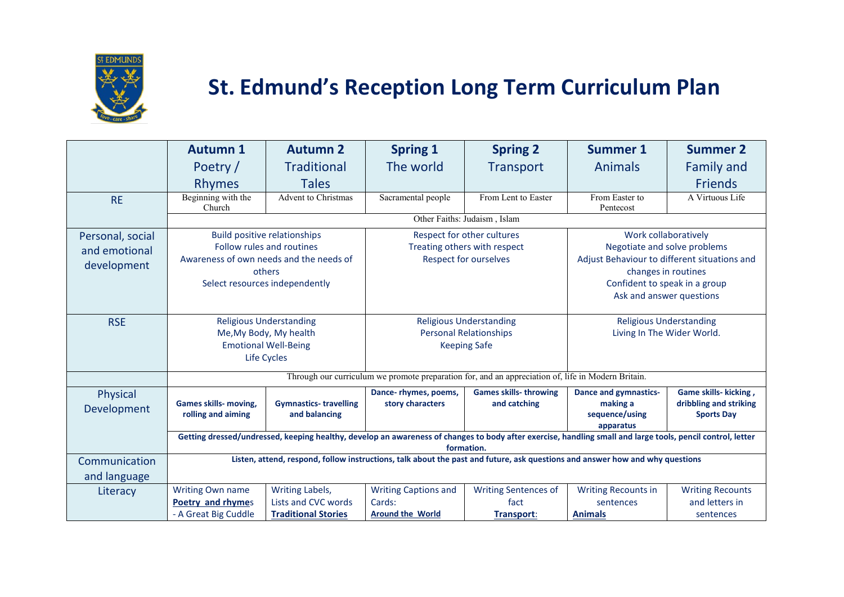

## **St. Edmund's Reception Long Term Curriculum Plan**

|                                                  | <b>Autumn 1</b>                                                                                                                                                          | <b>Autumn 2</b>                                                      | <b>Spring 1</b>                                                                            | <b>Spring 2</b>                                   | <b>Summer 1</b>                                                                                                                                              | <b>Summer 2</b>                                                      |  |
|--------------------------------------------------|--------------------------------------------------------------------------------------------------------------------------------------------------------------------------|----------------------------------------------------------------------|--------------------------------------------------------------------------------------------|---------------------------------------------------|--------------------------------------------------------------------------------------------------------------------------------------------------------------|----------------------------------------------------------------------|--|
|                                                  | Poetry /                                                                                                                                                                 | <b>Traditional</b>                                                   | The world                                                                                  | <b>Transport</b>                                  | Animals                                                                                                                                                      | <b>Family and</b>                                                    |  |
|                                                  | <b>Rhymes</b>                                                                                                                                                            | <b>Tales</b>                                                         |                                                                                            |                                                   |                                                                                                                                                              | <b>Friends</b>                                                       |  |
| <b>RE</b>                                        | Beginning with the<br>Church                                                                                                                                             | <b>Advent to Christmas</b>                                           | Sacramental people                                                                         | From Lent to Easter                               | From Easter to<br>Pentecost                                                                                                                                  | A Virtuous Life                                                      |  |
|                                                  | Other Faiths: Judaism, Islam                                                                                                                                             |                                                                      |                                                                                            |                                                   |                                                                                                                                                              |                                                                      |  |
| Personal, social<br>and emotional<br>development | <b>Build positive relationships</b><br>Follow rules and routines<br>Awareness of own needs and the needs of<br>others<br>Select resources independently                  |                                                                      | Respect for other cultures<br>Treating others with respect<br><b>Respect for ourselves</b> |                                                   | Work collaboratively<br>Negotiate and solve problems<br>Adjust Behaviour to different situations and<br>changes in routines<br>Confident to speak in a group |                                                                      |  |
|                                                  |                                                                                                                                                                          |                                                                      |                                                                                            |                                                   | Ask and answer questions                                                                                                                                     |                                                                      |  |
| <b>RSE</b>                                       | <b>Religious Understanding</b><br>Me, My Body, My health<br><b>Emotional Well-Being</b><br>Life Cycles                                                                   |                                                                      | <b>Religious Understanding</b><br><b>Personal Relationships</b><br><b>Keeping Safe</b>     |                                                   | <b>Religious Understanding</b><br>Living In The Wider World.                                                                                                 |                                                                      |  |
|                                                  | Through our curriculum we promote preparation for, and an appreciation of, life in Modern Britain.                                                                       |                                                                      |                                                                                            |                                                   |                                                                                                                                                              |                                                                      |  |
| Physical<br>Development                          | <b>Games skills- moving,</b><br>rolling and aiming                                                                                                                       | <b>Gymnastics-travelling</b><br>and balancing                        | Dance- rhymes, poems,<br>story characters                                                  | <b>Games skills- throwing</b><br>and catching     | <b>Dance and gymnastics-</b><br>making a<br>sequence/using<br>apparatus                                                                                      | Game skills- kicking,<br>dribbling and striking<br><b>Sports Day</b> |  |
|                                                  | Getting dressed/undressed, keeping healthy, develop an awareness of changes to body after exercise, handling small and large tools, pencil control, letter<br>formation. |                                                                      |                                                                                            |                                                   |                                                                                                                                                              |                                                                      |  |
| Communication<br>and language                    | Listen, attend, respond, follow instructions, talk about the past and future, ask questions and answer how and why questions                                             |                                                                      |                                                                                            |                                                   |                                                                                                                                                              |                                                                      |  |
| Literacy                                         | Writing Own name<br>Poetry and rhymes<br>- A Great Big Cuddle                                                                                                            | Writing Labels,<br>Lists and CVC words<br><b>Traditional Stories</b> | <b>Writing Captions and</b><br>Cards:<br><b>Around the World</b>                           | <b>Writing Sentences of</b><br>fact<br>Transport: | <b>Writing Recounts in</b><br>sentences<br><b>Animals</b>                                                                                                    | <b>Writing Recounts</b><br>and letters in<br>sentences               |  |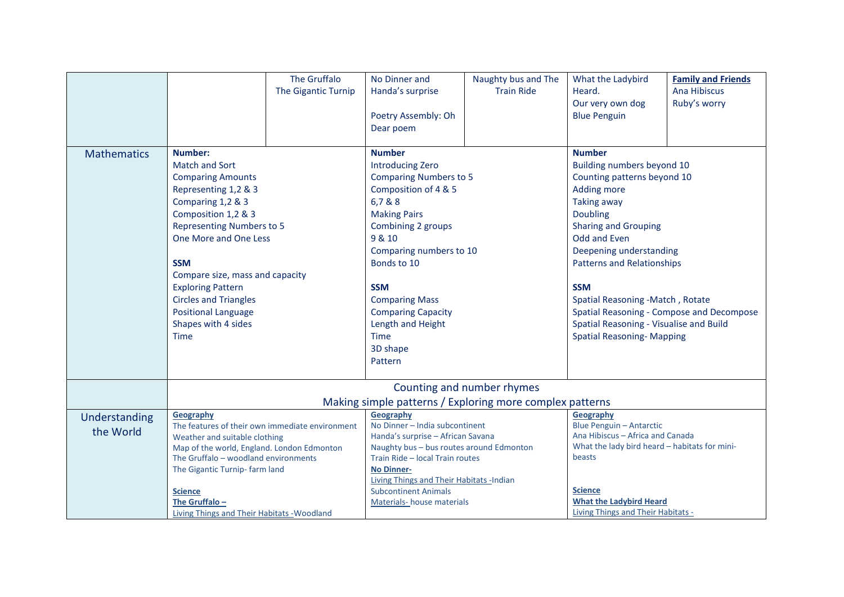|                    |                                                 | The Gruffalo                                             | No Dinner and                                                                  | Naughty bus and The | What the Ladybird                             | <b>Family and Friends</b>   |  |
|--------------------|-------------------------------------------------|----------------------------------------------------------|--------------------------------------------------------------------------------|---------------------|-----------------------------------------------|-----------------------------|--|
|                    |                                                 | The Gigantic Turnip                                      | Handa's surprise                                                               | <b>Train Ride</b>   | Heard.                                        | Ana Hibiscus                |  |
|                    |                                                 |                                                          |                                                                                |                     | Our very own dog                              | Ruby's worry                |  |
|                    |                                                 |                                                          | Poetry Assembly: Oh                                                            |                     | <b>Blue Penguin</b>                           |                             |  |
|                    |                                                 |                                                          | Dear poem                                                                      |                     |                                               |                             |  |
|                    |                                                 |                                                          |                                                                                |                     |                                               |                             |  |
| <b>Mathematics</b> | <b>Number:</b>                                  |                                                          | <b>Number</b>                                                                  |                     | <b>Number</b>                                 |                             |  |
|                    | <b>Match and Sort</b>                           |                                                          | <b>Introducing Zero</b>                                                        |                     | Building numbers beyond 10                    |                             |  |
|                    | <b>Comparing Amounts</b>                        |                                                          | <b>Comparing Numbers to 5</b>                                                  |                     | Counting patterns beyond 10                   |                             |  |
|                    | Representing 1,2 & 3                            |                                                          | Composition of 4 & 5                                                           |                     | <b>Adding more</b>                            |                             |  |
|                    | Comparing 1,2 & 3                               |                                                          | 6,7 & 8                                                                        |                     | <b>Taking away</b>                            |                             |  |
|                    | Composition 1,2 & 3                             |                                                          | <b>Making Pairs</b>                                                            |                     | <b>Doubling</b>                               |                             |  |
|                    | <b>Representing Numbers to 5</b>                |                                                          | Combining 2 groups                                                             |                     |                                               | <b>Sharing and Grouping</b> |  |
|                    | One More and One Less                           |                                                          | 9 & 10                                                                         |                     | <b>Odd and Even</b>                           |                             |  |
|                    |                                                 |                                                          | Comparing numbers to 10                                                        |                     | Deepening understanding                       |                             |  |
|                    | <b>SSM</b>                                      |                                                          | Bonds to 10                                                                    |                     | <b>Patterns and Relationships</b>             |                             |  |
|                    | Compare size, mass and capacity                 |                                                          |                                                                                |                     |                                               |                             |  |
|                    | <b>Exploring Pattern</b>                        |                                                          | <b>SSM</b>                                                                     |                     | <b>SSM</b>                                    |                             |  |
|                    | <b>Circles and Triangles</b>                    |                                                          | <b>Comparing Mass</b>                                                          |                     | Spatial Reasoning -Match, Rotate              |                             |  |
|                    | <b>Positional Language</b>                      |                                                          | <b>Comparing Capacity</b>                                                      |                     | Spatial Reasoning - Compose and Decompose     |                             |  |
|                    | Shapes with 4 sides                             |                                                          | Length and Height                                                              |                     | Spatial Reasoning - Visualise and Build       |                             |  |
|                    | <b>Time</b>                                     |                                                          | <b>Time</b>                                                                    |                     | <b>Spatial Reasoning- Mapping</b>             |                             |  |
|                    |                                                 |                                                          | 3D shape                                                                       |                     |                                               |                             |  |
|                    |                                                 |                                                          | Pattern                                                                        |                     |                                               |                             |  |
|                    |                                                 |                                                          |                                                                                |                     |                                               |                             |  |
|                    | Counting and number rhymes                      |                                                          |                                                                                |                     |                                               |                             |  |
|                    |                                                 | Making simple patterns / Exploring more complex patterns |                                                                                |                     |                                               |                             |  |
| Understanding      | Geography                                       |                                                          | <b>Geography</b>                                                               |                     | Geography                                     |                             |  |
| the World          | The features of their own immediate environment |                                                          | No Dinner - India subcontinent                                                 |                     | <b>Blue Penguin - Antarctic</b>               |                             |  |
|                    | Weather and suitable clothing                   |                                                          | Handa's surprise - African Savana                                              |                     | Ana Hibiscus - Africa and Canada              |                             |  |
|                    | Map of the world, England. London Edmonton      |                                                          | Naughty bus - bus routes around Edmonton                                       |                     | What the lady bird heard - habitats for mini- |                             |  |
|                    | The Gruffalo - woodland environments            |                                                          | Train Ride - local Train routes                                                |                     | beasts                                        |                             |  |
|                    | The Gigantic Turnip- farm land                  |                                                          | <b>No Dinner-</b>                                                              |                     |                                               |                             |  |
|                    | <b>Science</b>                                  |                                                          | <b>Living Things and Their Habitats -Indian</b><br><b>Subcontinent Animals</b> |                     | <b>Science</b>                                |                             |  |
|                    | The Gruffalo-                                   |                                                          | Materials-house materials                                                      |                     | <b>What the Ladybird Heard</b>                |                             |  |
|                    | Living Things and Their Habitats - Woodland     |                                                          |                                                                                |                     | Living Things and Their Habitats -            |                             |  |